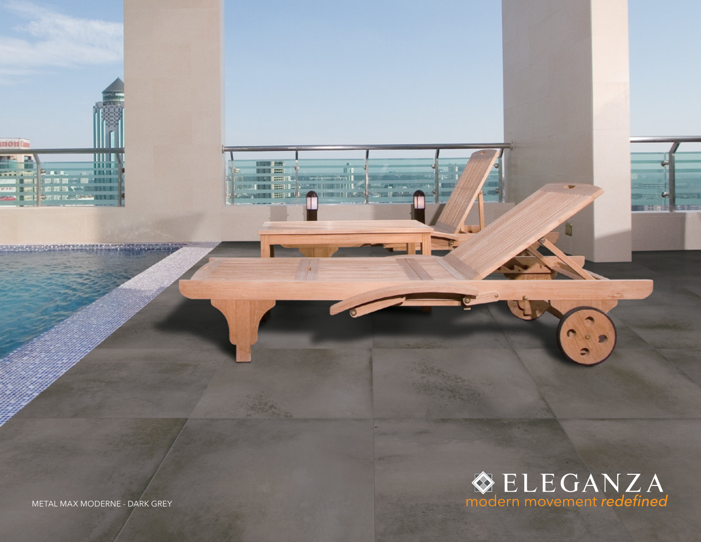

METAL MAX MODERNE - DARK GREY

**THE REAL PROPERTY** 

**HOH Can** 

SPIEGREICHERSCHEIDUNG

me <del>Romono, company de la</del><br>Metropolitana de la Politica de la Politica de la Politica de la Politica de la Politica de la Politica de la **INCORPORATE AND INCORPORATE AND INCORPORATE AND INCORPORATE AND INCORPORATE AND INCORPORATE AND INCORPORATE AND** 

**CHER BELLEVANS THE**